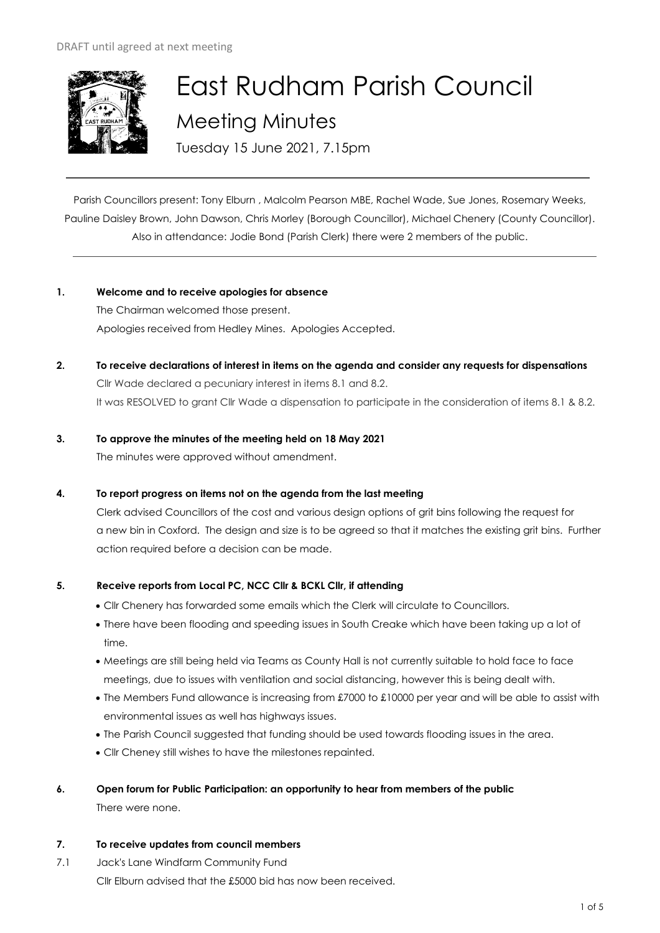

# East Rudham Parish Council Meeting Minutes

Tuesday 15 June 2021, 7.15pm

Parish Councillors present: Tony Elburn , Malcolm Pearson MBE, Rachel Wade, Sue Jones, Rosemary Weeks, Pauline Daisley Brown, John Dawson, Chris Morley (Borough Councillor), Michael Chenery (County Councillor). Also in attendance: Jodie Bond (Parish Clerk) there were 2 members of the public.

# **1. Welcome and to receive apologies for absence**

The Chairman welcomed those present. Apologies received from Hedley Mines. Apologies Accepted.

**2. To receive declarations of interest in items on the agenda and consider any requests for dispensations**  Cllr Wade declared a pecuniary interest in items 8.1 and 8.2. It was RESOLVED to grant Cllr Wade a dispensation to participate in the consideration of items 8.1 & 8.2.

# **3. To approve the minutes of the meeting held on 18 May 2021**  The minutes were approved without amendment.

# **4. To report progress on items not on the agenda from the last meeting**

Clerk advised Councillors of the cost and various design options of grit bins following the request for a new bin in Coxford. The design and size is to be agreed so that it matches the existing grit bins. Further action required before a decision can be made.

# **5. Receive reports from Local PC, NCC Cllr & BCKL Cllr, if attending**

- Cllr Chenery has forwarded some emails which the Clerk will circulate to Councillors.
- There have been flooding and speeding issues in South Creake which have been taking up a lot of time.
- Meetings are still being held via Teams as County Hall is not currently suitable to hold face to face meetings, due to issues with ventilation and social distancing, however this is being dealt with.
- The Members Fund allowance is increasing from £7000 to £10000 per year and will be able to assist with environmental issues as well has highways issues.
- The Parish Council suggested that funding should be used towards flooding issues in the area.
- Cllr Cheney still wishes to have the milestones repainted.
- **6. Open forum for Public Participation: an opportunity to hear from members of the public**

There were none.

# **7. To receive updates from council members**

7.1 Jack's Lane Windfarm Community Fund Cllr Elburn advised that the £5000 bid has now been received.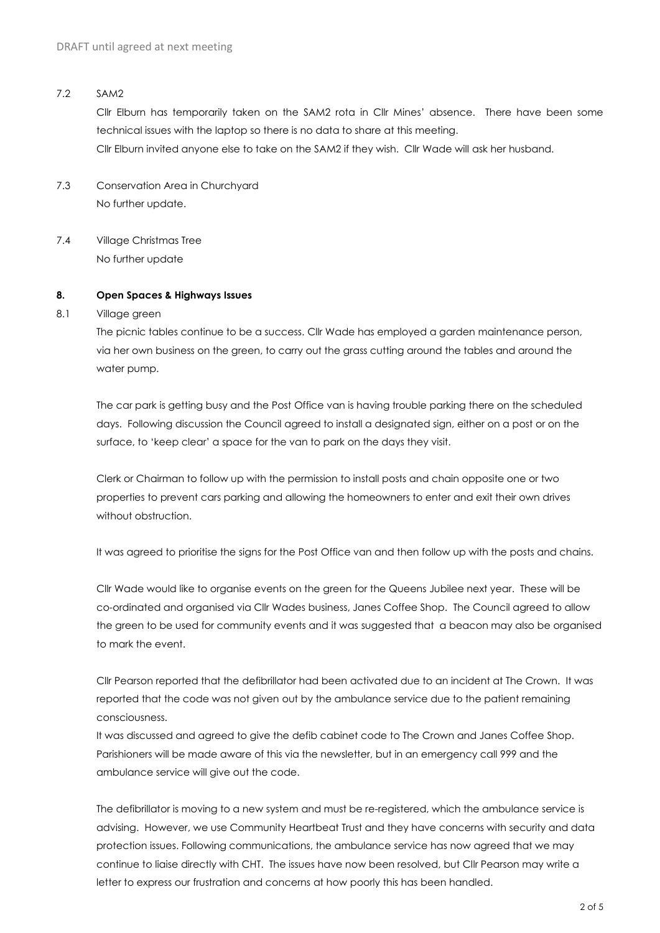#### 7.2 SAM2

Cllr Elburn has temporarily taken on the SAM2 rota in Cllr Mines' absence. There have been some technical issues with the laptop so there is no data to share at this meeting. Cllr Elburn invited anyone else to take on the SAM2 if they wish. Cllr Wade will ask her husband.

- 7.3 Conservation Area in Churchyard No further update.
- 7.4 Village Christmas Tree No further update

#### **8. Open Spaces & Highways Issues**

#### 8.1 Village green

The picnic tables continue to be a success. Cllr Wade has employed a garden maintenance person, via her own business on the green, to carry out the grass cutting around the tables and around the water pump.

The car park is getting busy and the Post Office van is having trouble parking there on the scheduled days. Following discussion the Council agreed to install a designated sign, either on a post or on the surface, to 'keep clear' a space for the van to park on the days they visit.

Clerk or Chairman to follow up with the permission to install posts and chain opposite one or two properties to prevent cars parking and allowing the homeowners to enter and exit their own drives without obstruction.

It was agreed to prioritise the signs for the Post Office van and then follow up with the posts and chains.

Cllr Wade would like to organise events on the green for the Queens Jubilee next year. These will be co-ordinated and organised via Cllr Wades business, Janes Coffee Shop. The Council agreed to allow the green to be used for community events and it was suggested that a beacon may also be organised to mark the event.

Cllr Pearson reported that the defibrillator had been activated due to an incident at The Crown. It was reported that the code was not given out by the ambulance service due to the patient remaining consciousness.

It was discussed and agreed to give the defib cabinet code to The Crown and Janes Coffee Shop. Parishioners will be made aware of this via the newsletter, but in an emergency call 999 and the ambulance service will give out the code.

The defibrillator is moving to a new system and must be re-registered, which the ambulance service is advising. However, we use Community Heartbeat Trust and they have concerns with security and data protection issues. Following communications, the ambulance service has now agreed that we may continue to liaise directly with CHT. The issues have now been resolved, but Cllr Pearson may write a letter to express our frustration and concerns at how poorly this has been handled.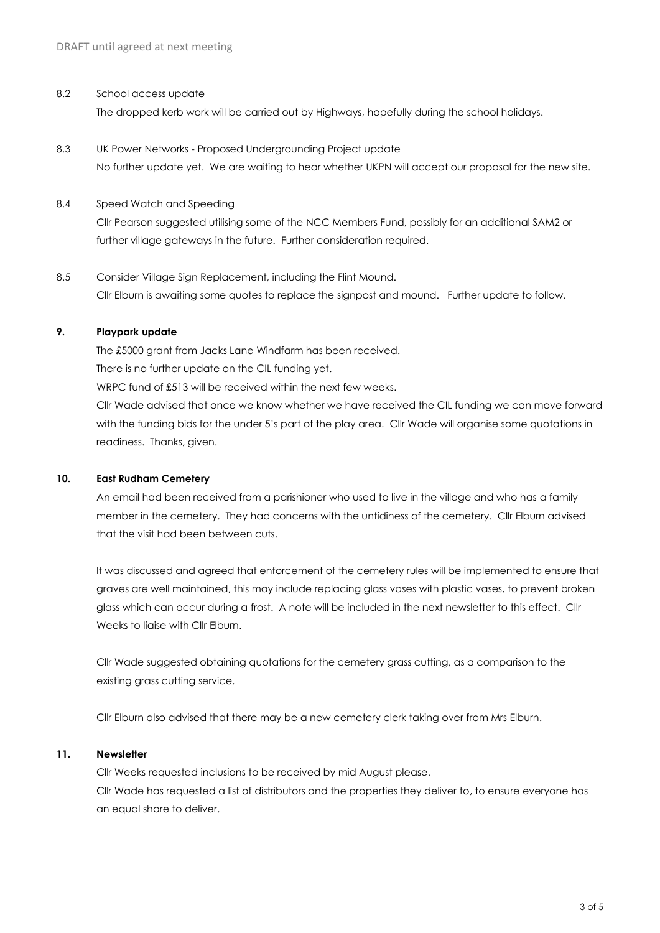#### 8.2 School access update

The dropped kerb work will be carried out by Highways, hopefully during the school holidays.

8.3 UK Power Networks - Proposed Undergrounding Project update No further update yet. We are waiting to hear whether UKPN will accept our proposal for the new site.

#### 8.4 Speed Watch and Speeding

Cllr Pearson suggested utilising some of the NCC Members Fund, possibly for an additional SAM2 or further village gateways in the future. Further consideration required.

8.5 Consider Village Sign Replacement, including the Flint Mound. Cllr Elburn is awaiting some quotes to replace the signpost and mound. Further update to follow.

#### **9. Playpark update**

The £5000 grant from Jacks Lane Windfarm has been received. There is no further update on the CIL funding yet. WRPC fund of £513 will be received within the next few weeks.

Cllr Wade advised that once we know whether we have received the CIL funding we can move forward with the funding bids for the under 5's part of the play area. Cllr Wade will organise some quotations in readiness. Thanks, given.

#### **10. East Rudham Cemetery**

An email had been received from a parishioner who used to live in the village and who has a family member in the cemetery. They had concerns with the untidiness of the cemetery. Cllr Elburn advised that the visit had been between cuts.

It was discussed and agreed that enforcement of the cemetery rules will be implemented to ensure that graves are well maintained, this may include replacing glass vases with plastic vases, to prevent broken glass which can occur during a frost. A note will be included in the next newsletter to this effect. Cllr Weeks to liaise with Cllr Elburn.

Cllr Wade suggested obtaining quotations for the cemetery grass cutting, as a comparison to the existing grass cutting service.

Cllr Elburn also advised that there may be a new cemetery clerk taking over from Mrs Elburn.

#### **11. Newsletter**

Cllr Weeks requested inclusions to be received by mid August please. Cllr Wade has requested a list of distributors and the properties they deliver to, to ensure everyone has an equal share to deliver.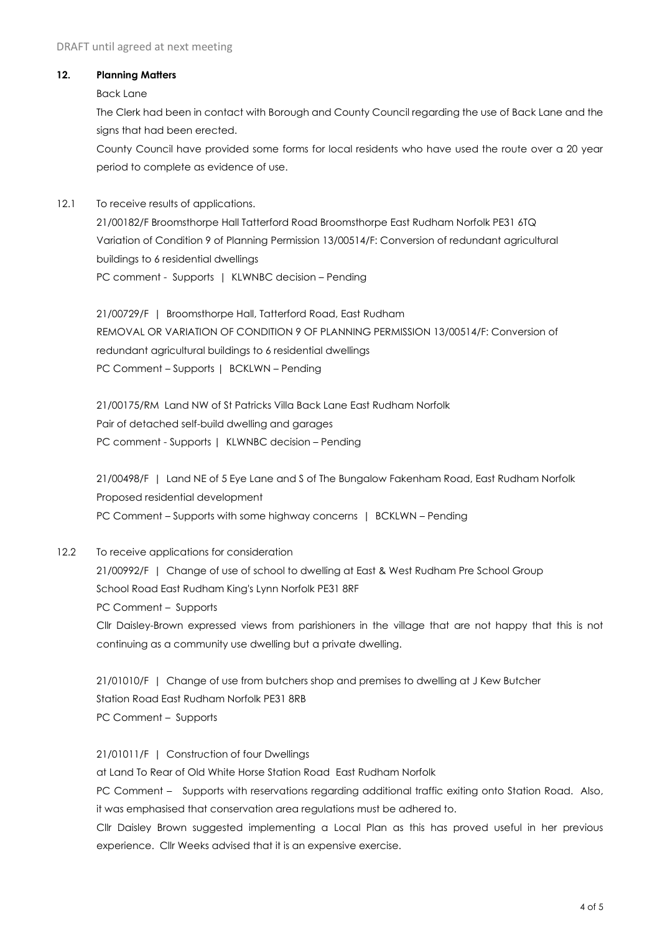### **12. Planning Matters**

Back Lane

The Clerk had been in contact with Borough and County Council regarding the use of Back Lane and the sians that had been erected.

County Council have provided some forms for local residents who have used the route over a 20 year period to complete as evidence of use.

12.1 To receive results of applications.

21/00182/F Broomsthorpe Hall Tatterford Road Broomsthorpe East Rudham Norfolk PE31 6TQ Variation of Condition 9 of Planning Permission 13/00514/F: Conversion of redundant agricultural buildings to 6 residential dwellings PC comment - Supports | KLWNBC decision – Pending

21/00729/F | Broomsthorpe Hall, Tatterford Road, East Rudham REMOVAL OR VARIATION OF CONDITION 9 OF PLANNING PERMISSION 13/00514/F: Conversion of redundant agricultural buildings to 6 residential dwellings PC Comment – Supports | BCKLWN – Pending

21/00175/RM Land NW of St Patricks Villa Back Lane East Rudham Norfolk Pair of detached self-build dwelling and garages PC comment - Supports | KLWNBC decision – Pending

21/00498/F | Land NE of 5 Eye Lane and S of The Bungalow Fakenham Road, East Rudham Norfolk Proposed residential development PC Comment – Supports with some highway concerns | BCKLWN – Pending

12.2 To receive applications for consideration

21/00992/F | Change of use of school to dwelling at East & West Rudham Pre School Group School Road East Rudham King's Lynn Norfolk PE31 8RF PC Comment – Supports Cllr Daisley-Brown expressed views from parishioners in the village that are not happy that this is not

continuing as a community use dwelling but a private dwelling.

21/01010/F | Change of use from butchers shop and premises to dwelling at J Kew Butcher Station Road East Rudham Norfolk PE31 8RB PC Comment – Supports

21/01011/F | Construction of four Dwellings

at Land To Rear of Old White Horse Station Road East Rudham Norfolk

PC Comment – Supports with reservations regarding additional traffic exiting onto Station Road. Also, it was emphasised that conservation area regulations must be adhered to.

Cllr Daisley Brown suggested implementing a Local Plan as this has proved useful in her previous experience. Cllr Weeks advised that it is an expensive exercise.